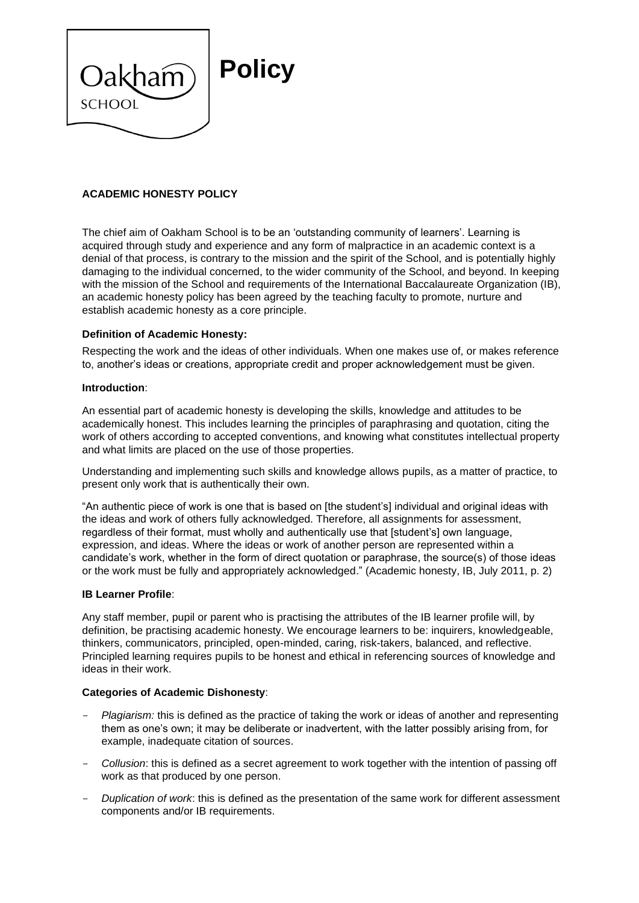

# **ACADEMIC HONESTY POLICY**

The chief aim of Oakham School is to be an 'outstanding community of learners'. Learning is acquired through study and experience and any form of malpractice in an academic context is a denial of that process, is contrary to the mission and the spirit of the School, and is potentially highly damaging to the individual concerned, to the wider community of the School, and beyond. In keeping with the mission of the School and requirements of the International Baccalaureate Organization (IB), an academic honesty policy has been agreed by the teaching faculty to promote, nurture and establish academic honesty as a core principle.

## **Definition of Academic Honesty:**

Respecting the work and the ideas of other individuals. When one makes use of, or makes reference to, another's ideas or creations, appropriate credit and proper acknowledgement must be given.

### **Introduction**:

An essential part of academic honesty is developing the skills, knowledge and attitudes to be academically honest. This includes learning the principles of paraphrasing and quotation, citing the work of others according to accepted conventions, and knowing what constitutes intellectual property and what limits are placed on the use of those properties.

Understanding and implementing such skills and knowledge allows pupils, as a matter of practice, to present only work that is authentically their own.

"An authentic piece of work is one that is based on [the student's] individual and original ideas with the ideas and work of others fully acknowledged. Therefore, all assignments for assessment, regardless of their format, must wholly and authentically use that [student's] own language, expression, and ideas. Where the ideas or work of another person are represented within a candidate's work, whether in the form of direct quotation or paraphrase, the source(s) of those ideas or the work must be fully and appropriately acknowledged." (Academic honesty, IB, July 2011, p. 2)

### **IB Learner Profile**:

Any staff member, pupil or parent who is practising the attributes of the IB learner profile will, by definition, be practising academic honesty. We encourage learners to be: inquirers, knowledgeable, thinkers, communicators, principled, open-minded, caring, risk-takers, balanced, and reflective. Principled learning requires pupils to be honest and ethical in referencing sources of knowledge and ideas in their work.

### **Categories of Academic Dishonesty**:

- *Plagiarism:* this is defined as the practice of taking the work or ideas of another and representing them as one's own; it may be deliberate or inadvertent, with the latter possibly arising from, for example, inadequate citation of sources.
- *Collusion*: this is defined as a secret agreement to work together with the intention of passing off work as that produced by one person.
- *Duplication of work*: this is defined as the presentation of the same work for different assessment components and/or IB requirements.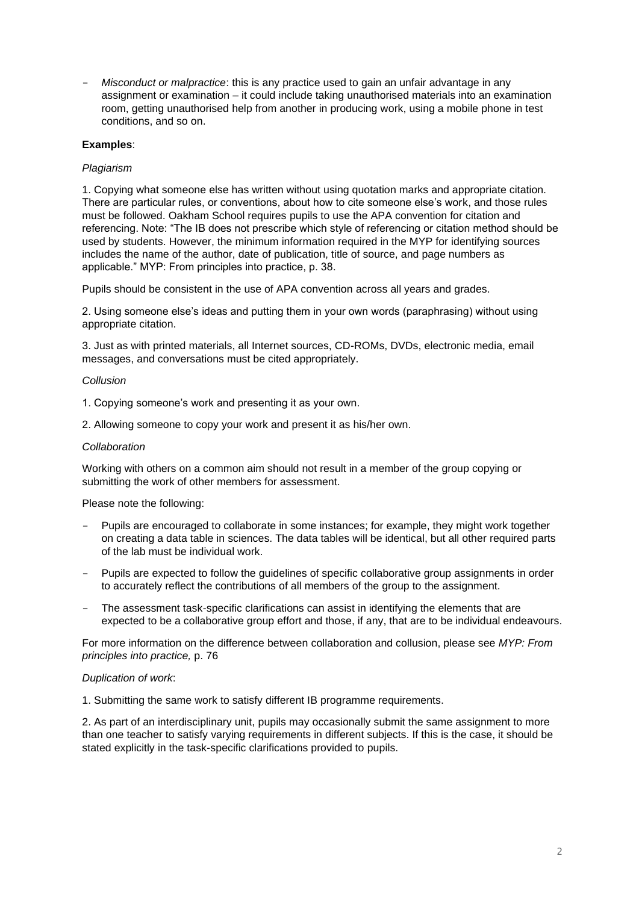- *Misconduct or malpractice*: this is any practice used to gain an unfair advantage in any assignment or examination – it could include taking unauthorised materials into an examination room, getting unauthorised help from another in producing work, using a mobile phone in test conditions, and so on.

# **Examples**:

## *Plagiarism*

1. Copying what someone else has written without using quotation marks and appropriate citation. There are particular rules, or conventions, about how to cite someone else's work, and those rules must be followed. Oakham School requires pupils to use the APA convention for citation and referencing. Note: "The IB does not prescribe which style of referencing or citation method should be used by students. However, the minimum information required in the MYP for identifying sources includes the name of the author, date of publication, title of source, and page numbers as applicable." MYP: From principles into practice, p. 38.

Pupils should be consistent in the use of APA convention across all years and grades.

2. Using someone else's ideas and putting them in your own words (paraphrasing) without using appropriate citation.

3. Just as with printed materials, all Internet sources, CD-ROMs, DVDs, electronic media, email messages, and conversations must be cited appropriately.

### *Collusion*

1. Copying someone's work and presenting it as your own.

2. Allowing someone to copy your work and present it as his/her own.

### *Collaboration*

Working with others on a common aim should not result in a member of the group copying or submitting the work of other members for assessment.

Please note the following:

- Pupils are encouraged to collaborate in some instances; for example, they might work together on creating a data table in sciences. The data tables will be identical, but all other required parts of the lab must be individual work.
- Pupils are expected to follow the guidelines of specific collaborative group assignments in order to accurately reflect the contributions of all members of the group to the assignment.
- The assessment task-specific clarifications can assist in identifying the elements that are expected to be a collaborative group effort and those, if any, that are to be individual endeavours.

For more information on the difference between collaboration and collusion, please see *MYP: From principles into practice,* p. 76

### *Duplication of work*:

1. Submitting the same work to satisfy different IB programme requirements.

2. As part of an interdisciplinary unit, pupils may occasionally submit the same assignment to more than one teacher to satisfy varying requirements in different subjects. If this is the case, it should be stated explicitly in the task-specific clarifications provided to pupils.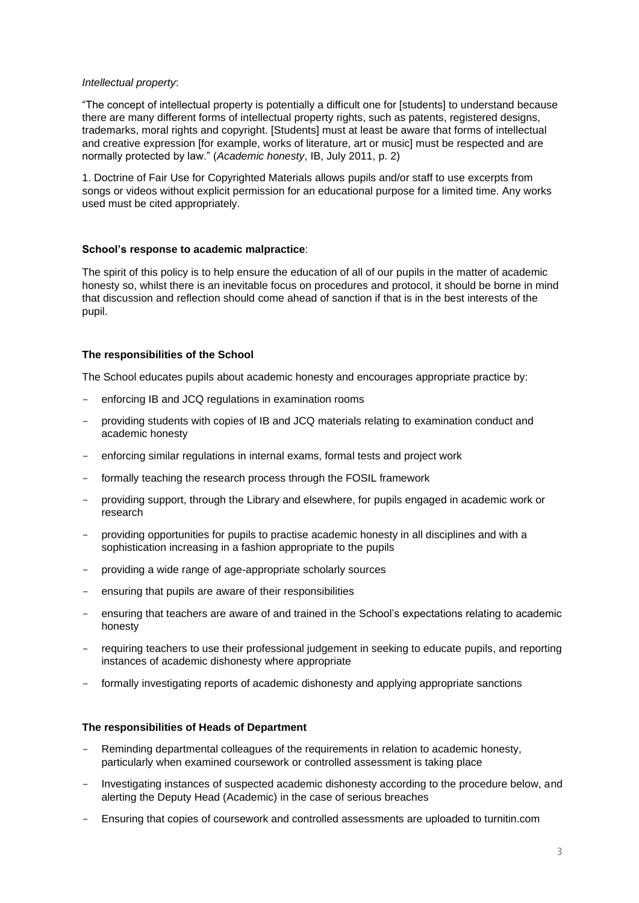## *Intellectual property*:

"The concept of intellectual property is potentially a difficult one for [students] to understand because there are many different forms of intellectual property rights, such as patents, registered designs, trademarks, moral rights and copyright. [Students] must at least be aware that forms of intellectual and creative expression [for example, works of literature, art or music] must be respected and are normally protected by law." (*Academic honesty*, IB, July 2011, p. 2)

1. Doctrine of Fair Use for Copyrighted Materials allows pupils and/or staff to use excerpts from songs or videos without explicit permission for an educational purpose for a limited time. Any works used must be cited appropriately.

## **School's response to academic malpractice**:

The spirit of this policy is to help ensure the education of all of our pupils in the matter of academic honesty so, whilst there is an inevitable focus on procedures and protocol, it should be borne in mind that discussion and reflection should come ahead of sanction if that is in the best interests of the pupil.

## **The responsibilities of the School**

The School educates pupils about academic honesty and encourages appropriate practice by:

- enforcing IB and JCQ regulations in examination rooms
- providing students with copies of IB and JCQ materials relating to examination conduct and academic honesty
- enforcing similar regulations in internal exams, formal tests and project work
- formally teaching the research process through the FOSIL framework
- providing support, through the Library and elsewhere, for pupils engaged in academic work or research
- providing opportunities for pupils to practise academic honesty in all disciplines and with a sophistication increasing in a fashion appropriate to the pupils
- providing a wide range of age-appropriate scholarly sources
- ensuring that pupils are aware of their responsibilities
- ensuring that teachers are aware of and trained in the School's expectations relating to academic honesty
- requiring teachers to use their professional judgement in seeking to educate pupils, and reporting instances of academic dishonesty where appropriate
- formally investigating reports of academic dishonesty and applying appropriate sanctions

# **The responsibilities of Heads of Department**

- Reminding departmental colleagues of the requirements in relation to academic honesty, particularly when examined coursework or controlled assessment is taking place
- Investigating instances of suspected academic dishonesty according to the procedure below, and alerting the Deputy Head (Academic) in the case of serious breaches
- Ensuring that copies of coursework and controlled assessments are uploaded to turnitin.com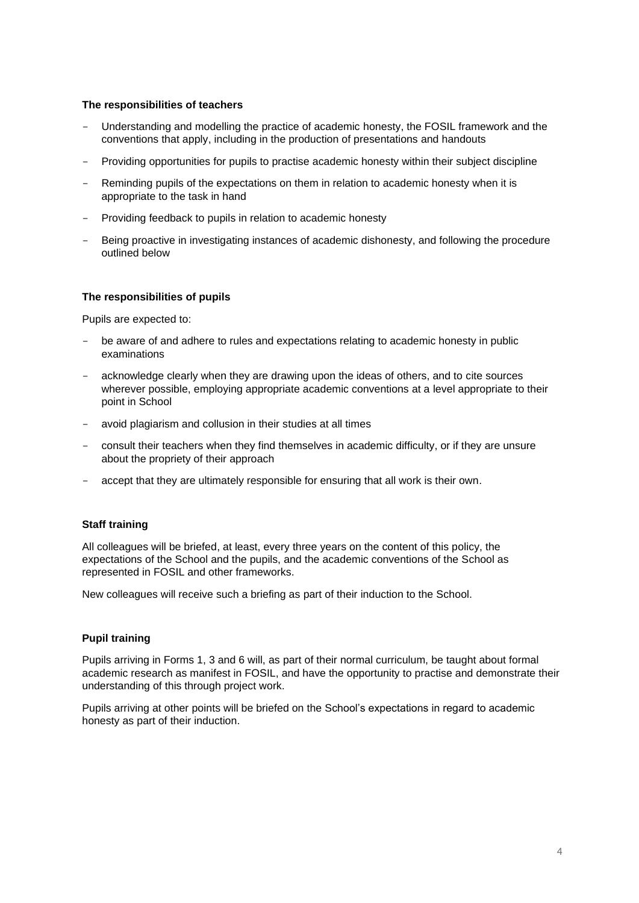## **The responsibilities of teachers**

- Understanding and modelling the practice of academic honesty, the FOSIL framework and the conventions that apply, including in the production of presentations and handouts
- Providing opportunities for pupils to practise academic honesty within their subject discipline
- Reminding pupils of the expectations on them in relation to academic honesty when it is appropriate to the task in hand
- Providing feedback to pupils in relation to academic honesty
- Being proactive in investigating instances of academic dishonesty, and following the procedure outlined below

## **The responsibilities of pupils**

Pupils are expected to:

- be aware of and adhere to rules and expectations relating to academic honesty in public examinations
- acknowledge clearly when they are drawing upon the ideas of others, and to cite sources wherever possible, employing appropriate academic conventions at a level appropriate to their point in School
- avoid plagiarism and collusion in their studies at all times
- consult their teachers when they find themselves in academic difficulty, or if they are unsure about the propriety of their approach
- accept that they are ultimately responsible for ensuring that all work is their own.

# **Staff training**

All colleagues will be briefed, at least, every three years on the content of this policy, the expectations of the School and the pupils, and the academic conventions of the School as represented in FOSIL and other frameworks.

New colleagues will receive such a briefing as part of their induction to the School.

# **Pupil training**

Pupils arriving in Forms 1, 3 and 6 will, as part of their normal curriculum, be taught about formal academic research as manifest in FOSIL, and have the opportunity to practise and demonstrate their understanding of this through project work.

Pupils arriving at other points will be briefed on the School's expectations in regard to academic honesty as part of their induction.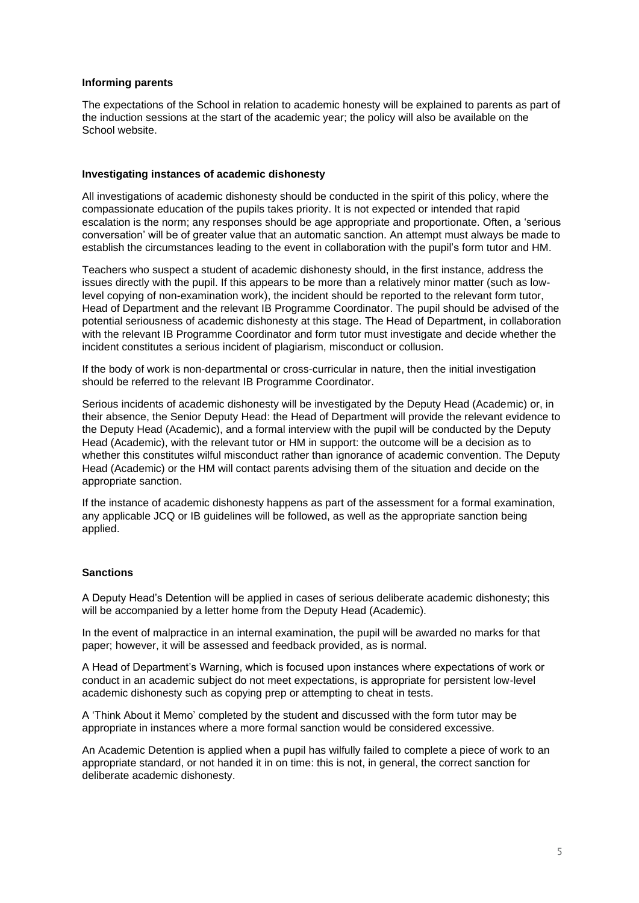## **Informing parents**

The expectations of the School in relation to academic honesty will be explained to parents as part of the induction sessions at the start of the academic year; the policy will also be available on the School website.

## **Investigating instances of academic dishonesty**

All investigations of academic dishonesty should be conducted in the spirit of this policy, where the compassionate education of the pupils takes priority. It is not expected or intended that rapid escalation is the norm; any responses should be age appropriate and proportionate. Often, a 'serious conversation' will be of greater value that an automatic sanction. An attempt must always be made to establish the circumstances leading to the event in collaboration with the pupil's form tutor and HM.

Teachers who suspect a student of academic dishonesty should, in the first instance, address the issues directly with the pupil. If this appears to be more than a relatively minor matter (such as lowlevel copying of non-examination work), the incident should be reported to the relevant form tutor, Head of Department and the relevant IB Programme Coordinator. The pupil should be advised of the potential seriousness of academic dishonesty at this stage. The Head of Department, in collaboration with the relevant IB Programme Coordinator and form tutor must investigate and decide whether the incident constitutes a serious incident of plagiarism, misconduct or collusion.

If the body of work is non-departmental or cross-curricular in nature, then the initial investigation should be referred to the relevant IB Programme Coordinator.

Serious incidents of academic dishonesty will be investigated by the Deputy Head (Academic) or, in their absence, the Senior Deputy Head: the Head of Department will provide the relevant evidence to the Deputy Head (Academic), and a formal interview with the pupil will be conducted by the Deputy Head (Academic), with the relevant tutor or HM in support: the outcome will be a decision as to whether this constitutes wilful misconduct rather than ignorance of academic convention. The Deputy Head (Academic) or the HM will contact parents advising them of the situation and decide on the appropriate sanction.

If the instance of academic dishonesty happens as part of the assessment for a formal examination, any applicable JCQ or IB guidelines will be followed, as well as the appropriate sanction being applied.

# **Sanctions**

A Deputy Head's Detention will be applied in cases of serious deliberate academic dishonesty; this will be accompanied by a letter home from the Deputy Head (Academic).

In the event of malpractice in an internal examination, the pupil will be awarded no marks for that paper; however, it will be assessed and feedback provided, as is normal.

A Head of Department's Warning, which is focused upon instances where expectations of work or conduct in an academic subject do not meet expectations, is appropriate for persistent low-level academic dishonesty such as copying prep or attempting to cheat in tests.

A 'Think About it Memo' completed by the student and discussed with the form tutor may be appropriate in instances where a more formal sanction would be considered excessive.

An Academic Detention is applied when a pupil has wilfully failed to complete a piece of work to an appropriate standard, or not handed it in on time: this is not, in general, the correct sanction for deliberate academic dishonesty.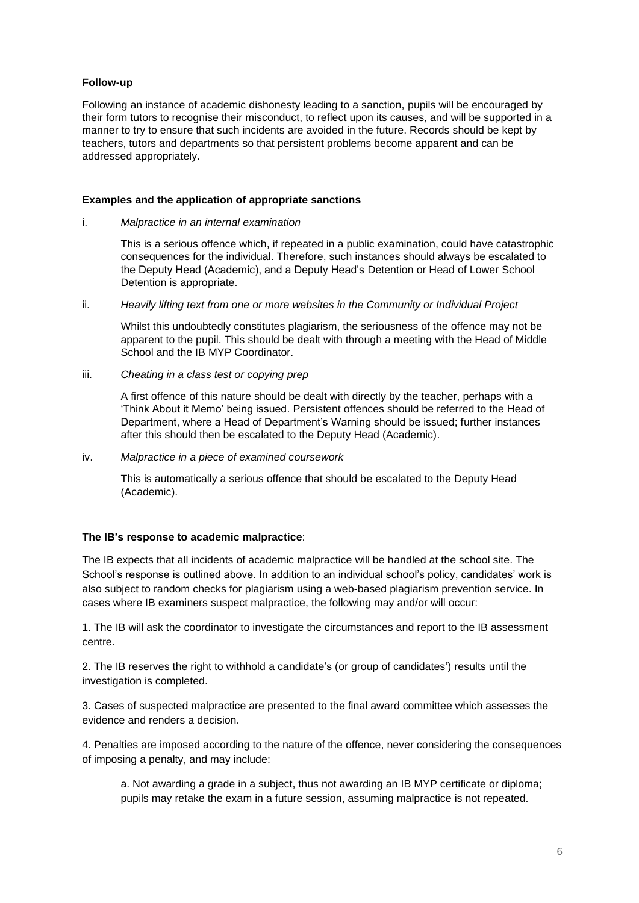# **Follow-up**

Following an instance of academic dishonesty leading to a sanction, pupils will be encouraged by their form tutors to recognise their misconduct, to reflect upon its causes, and will be supported in a manner to try to ensure that such incidents are avoided in the future. Records should be kept by teachers, tutors and departments so that persistent problems become apparent and can be addressed appropriately.

# **Examples and the application of appropriate sanctions**

## i. *Malpractice in an internal examination*

This is a serious offence which, if repeated in a public examination, could have catastrophic consequences for the individual. Therefore, such instances should always be escalated to the Deputy Head (Academic), and a Deputy Head's Detention or Head of Lower School Detention is appropriate.

ii. *Heavily lifting text from one or more websites in the Community or Individual Project*

Whilst this undoubtedly constitutes plagiarism, the seriousness of the offence may not be apparent to the pupil. This should be dealt with through a meeting with the Head of Middle School and the IB MYP Coordinator.

iii. *Cheating in a class test or copying prep*

A first offence of this nature should be dealt with directly by the teacher, perhaps with a 'Think About it Memo' being issued. Persistent offences should be referred to the Head of Department, where a Head of Department's Warning should be issued; further instances after this should then be escalated to the Deputy Head (Academic).

## iv. *Malpractice in a piece of examined coursework*

This is automatically a serious offence that should be escalated to the Deputy Head (Academic).

# **The IB's response to academic malpractice**:

The IB expects that all incidents of academic malpractice will be handled at the school site. The School's response is outlined above. In addition to an individual school's policy, candidates' work is also subject to random checks for plagiarism using a web-based plagiarism prevention service. In cases where IB examiners suspect malpractice, the following may and/or will occur:

1. The IB will ask the coordinator to investigate the circumstances and report to the IB assessment centre.

2. The IB reserves the right to withhold a candidate's (or group of candidates') results until the investigation is completed.

3. Cases of suspected malpractice are presented to the final award committee which assesses the evidence and renders a decision.

4. Penalties are imposed according to the nature of the offence, never considering the consequences of imposing a penalty, and may include:

a. Not awarding a grade in a subject, thus not awarding an IB MYP certificate or diploma; pupils may retake the exam in a future session, assuming malpractice is not repeated.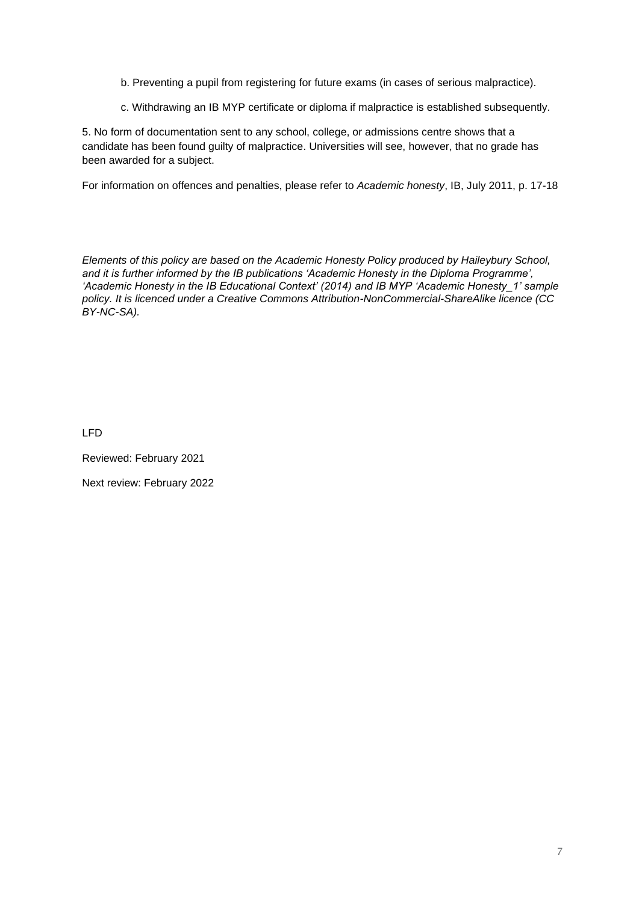- b. Preventing a pupil from registering for future exams (in cases of serious malpractice).
- c. Withdrawing an IB MYP certificate or diploma if malpractice is established subsequently.

5. No form of documentation sent to any school, college, or admissions centre shows that a candidate has been found guilty of malpractice. Universities will see, however, that no grade has been awarded for a subject.

For information on offences and penalties, please refer to *Academic honesty*, IB, July 2011, p. 17-18

*Elements of this policy are based on the Academic Honesty Policy produced by Haileybury School, and it is further informed by the IB publications 'Academic Honesty in the Diploma Programme', 'Academic Honesty in the IB Educational Context' (2014) and IB MYP 'Academic Honesty\_1' sample policy. It is licenced under a Creative Commons Attribution-NonCommercial-ShareAlike licence (CC BY-NC-SA).*

LFD

Reviewed: February 2021

Next review: February 2022